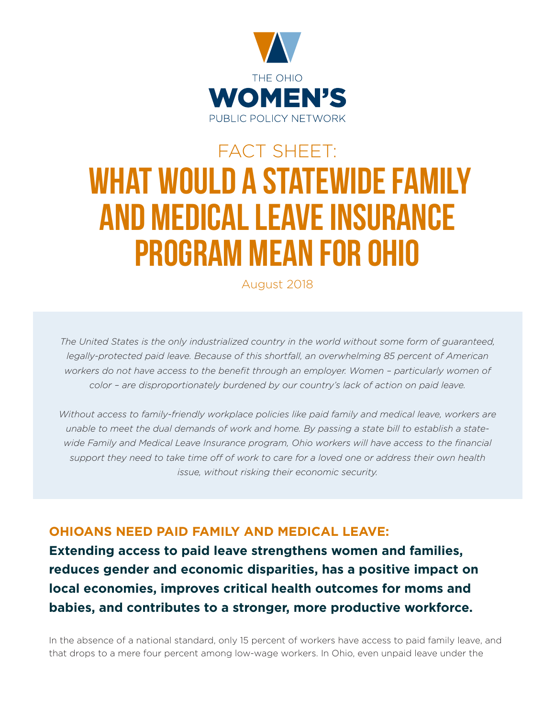

# FACT SHEET: WHAT WOULD A STATEWIDE FAMILY AND MEDICAL LEAVE INSURANCE PROGRAM MEAN FOR OHIO

August 2018

*The United States is the only industrialized country in the world without some form of guaranteed, legally-protected paid leave. Because of this shortfall, an overwhelming 85 percent of American*  workers do not have access to the benefit through an employer. Women - particularly women of *color – are disproportionately burdened by our country's lack of action on paid leave.* 

*Without access to family-friendly workplace policies like paid family and medical leave, workers are unable to meet the dual demands of work and home. By passing a state bill to establish a statewide Family and Medical Leave Insurance program, Ohio workers will have access to the financial support they need to take time off of work to care for a loved one or address their own health issue, without risking their economic security.*

## **OHIOANS NEED PAID FAMILY AND MEDICAL LEAVE:**

**Extending access to paid leave strengthens women and families, reduces gender and economic disparities, has a positive impact on local economies, improves critical health outcomes for moms and babies, and contributes to a stronger, more productive workforce.**

In the absence of a national standard, only 15 percent of workers have access to paid family leave, and that drops to a mere four percent among low-wage workers. In Ohio, even unpaid leave under the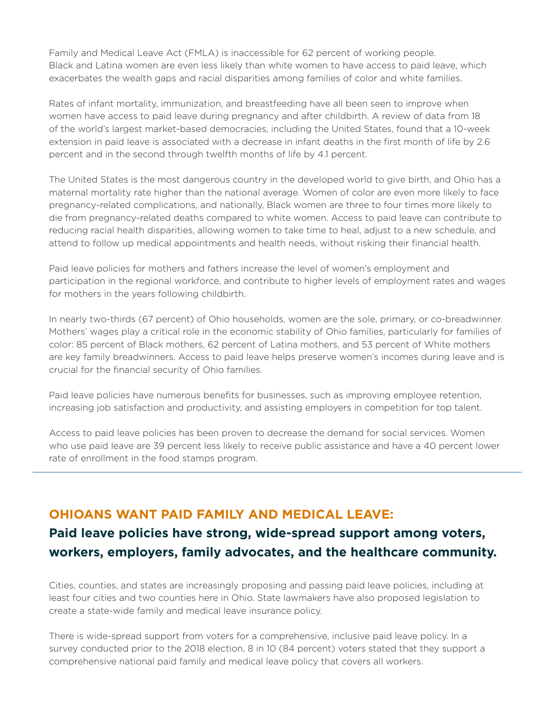Family and Medical Leave Act (FMLA) is inaccessible for 62 percent of working people. Black and Latina women are even less likely than white women to have access to paid leave, which exacerbates the wealth gaps and racial disparities among families of color and white families.

Rates of infant mortality, immunization, and breastfeeding have all been seen to improve when women have access to paid leave during pregnancy and after childbirth. A review of data from 18 of the world's largest market-based democracies, including the United States, found that a 10-week extension in paid leave is associated with a decrease in infant deaths in the first month of life by 2.6 percent and in the second through twelfth months of life by 4.1 percent.

The United States is the most dangerous country in the developed world to give birth, and Ohio has a maternal mortality rate higher than the national average. Women of color are even more likely to face pregnancy-related complications, and nationally, Black women are three to four times more likely to die from pregnancy-related deaths compared to white women. Access to paid leave can contribute to reducing racial health disparities, allowing women to take time to heal, adjust to a new schedule, and attend to follow up medical appointments and health needs, without risking their financial health.

Paid leave policies for mothers and fathers increase the level of women's employment and participation in the regional workforce, and contribute to higher levels of employment rates and wages for mothers in the years following childbirth.

In nearly two-thirds (67 percent) of Ohio households, women are the sole, primary, or co-breadwinner. Mothers' wages play a critical role in the economic stability of Ohio families, particularly for families of color: 85 percent of Black mothers, 62 percent of Latina mothers, and 53 percent of White mothers are key family breadwinners. Access to paid leave helps preserve women's incomes during leave and is crucial for the financial security of Ohio families.

Paid leave policies have numerous benefits for businesses, such as improving employee retention, increasing job satisfaction and productivity, and assisting employers in competition for top talent.

Access to paid leave policies has been proven to decrease the demand for social services. Women who use paid leave are 39 percent less likely to receive public assistance and have a 40 percent lower rate of enrollment in the food stamps program.

#### **OHIOANS WANT PAID FAMILY AND MEDICAL LEAVE:**

# **Paid leave policies have strong, wide-spread support among voters, workers, employers, family advocates, and the healthcare community.**

Cities, counties, and states are increasingly proposing and passing paid leave policies, including at least four cities and two counties here in Ohio. State lawmakers have also proposed legislation to create a state-wide family and medical leave insurance policy.

There is wide-spread support from voters for a comprehensive, inclusive paid leave policy. In a survey conducted prior to the 2018 election, 8 in 10 (84 percent) voters stated that they support a comprehensive national paid family and medical leave policy that covers all workers.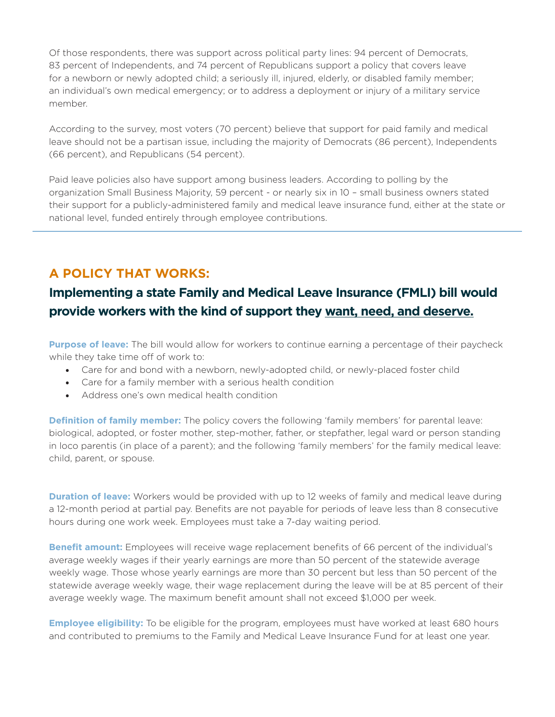Of those respondents, there was support across political party lines: 94 percent of Democrats, 83 percent of Independents, and 74 percent of Republicans support a policy that covers leave for a newborn or newly adopted child; a seriously ill, injured, elderly, or disabled family member; an individual's own medical emergency; or to address a deployment or injury of a military service member.

According to the survey, most voters (70 percent) believe that support for paid family and medical leave should not be a partisan issue, including the majority of Democrats (86 percent), Independents (66 percent), and Republicans (54 percent).

Paid leave policies also have support among business leaders. According to polling by the organization Small Business Majority, 59 percent - or nearly six in 10 – small business owners stated their support for a publicly-administered family and medical leave insurance fund, either at the state or national level, funded entirely through employee contributions.

### **A POLICY THAT WORKS:**

# **Implementing a state Family and Medical Leave Insurance (FMLI) bill would provide workers with the kind of support they want, need, and deserve.**

**Purpose of leave:** The bill would allow for workers to continue earning a percentage of their paycheck while they take time off of work to:

- Care for and bond with a newborn, newly-adopted child, or newly-placed foster child
- Care for a family member with a serious health condition
- Address one's own medical health condition

**Definition of family member:** The policy covers the following 'family members' for parental leave: biological, adopted, or foster mother, step-mother, father, or stepfather, legal ward or person standing in loco parentis (in place of a parent); and the following 'family members' for the family medical leave: child, parent, or spouse.

**Duration of leave:** Workers would be provided with up to 12 weeks of family and medical leave during a 12-month period at partial pay. Benefits are not payable for periods of leave less than 8 consecutive hours during one work week. Employees must take a 7-day waiting period.

**Benefit amount:** Employees will receive wage replacement benefits of 66 percent of the individual's average weekly wages if their yearly earnings are more than 50 percent of the statewide average weekly wage. Those whose yearly earnings are more than 30 percent but less than 50 percent of the statewide average weekly wage, their wage replacement during the leave will be at 85 percent of their average weekly wage. The maximum benefit amount shall not exceed \$1,000 per week.

**Employee eligibility:** To be eligible for the program, employees must have worked at least 680 hours and contributed to premiums to the Family and Medical Leave Insurance Fund for at least one year.